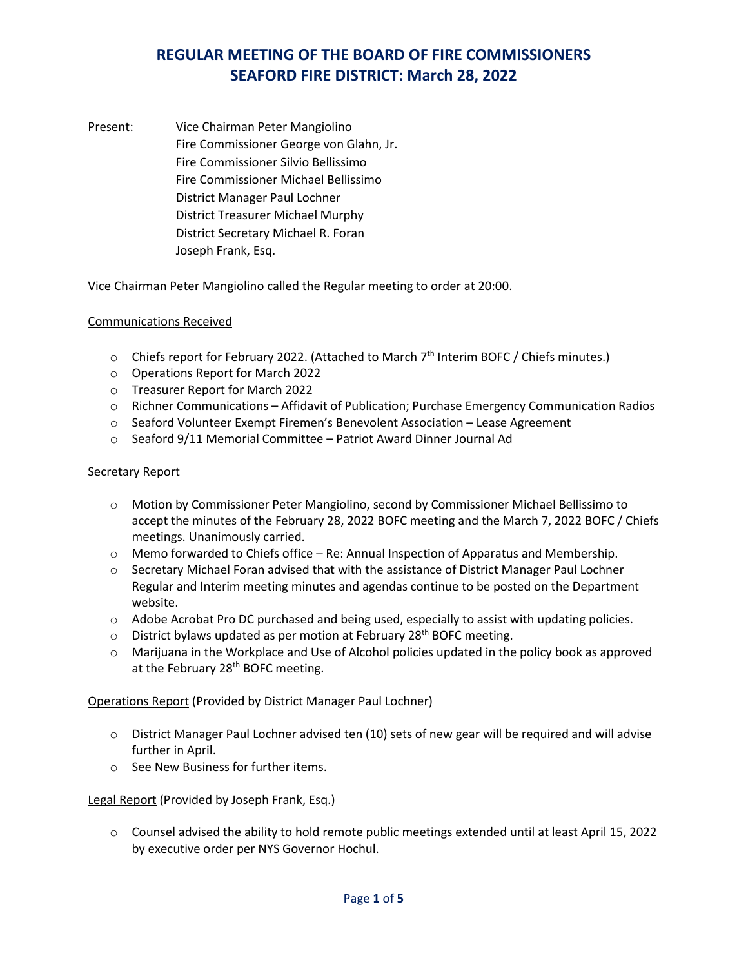Present: Vice Chairman Peter Mangiolino Fire Commissioner George von Glahn, Jr. Fire Commissioner Silvio Bellissimo Fire Commissioner Michael Bellissimo District Manager Paul Lochner District Treasurer Michael Murphy District Secretary Michael R. Foran Joseph Frank, Esq.

Vice Chairman Peter Mangiolino called the Regular meeting to order at 20:00.

#### Communications Received

- $\circ$  Chiefs report for February 2022. (Attached to March  $7<sup>th</sup>$  Interim BOFC / Chiefs minutes.)
- o Operations Report for March 2022
- o Treasurer Report for March 2022
- o Richner Communications Affidavit of Publication; Purchase Emergency Communication Radios
- o Seaford Volunteer Exempt Firemen's Benevolent Association Lease Agreement
- o Seaford 9/11 Memorial Committee Patriot Award Dinner Journal Ad

#### Secretary Report

- o Motion by Commissioner Peter Mangiolino, second by Commissioner Michael Bellissimo to accept the minutes of the February 28, 2022 BOFC meeting and the March 7, 2022 BOFC / Chiefs meetings. Unanimously carried.
- $\circ$  Memo forwarded to Chiefs office Re: Annual Inspection of Apparatus and Membership.
- o Secretary Michael Foran advised that with the assistance of District Manager Paul Lochner Regular and Interim meeting minutes and agendas continue to be posted on the Department website.
- o Adobe Acrobat Pro DC purchased and being used, especially to assist with updating policies.
- $\circ$  District bylaws updated as per motion at February 28<sup>th</sup> BOFC meeting.
- $\circ$  Marijuana in the Workplace and Use of Alcohol policies updated in the policy book as approved at the February 28<sup>th</sup> BOFC meeting.

Operations Report (Provided by District Manager Paul Lochner)

- $\circ$  District Manager Paul Lochner advised ten (10) sets of new gear will be required and will advise further in April.
- o See New Business for further items.

Legal Report (Provided by Joseph Frank, Esq.)

o Counsel advised the ability to hold remote public meetings extended until at least April 15, 2022 by executive order per NYS Governor Hochul.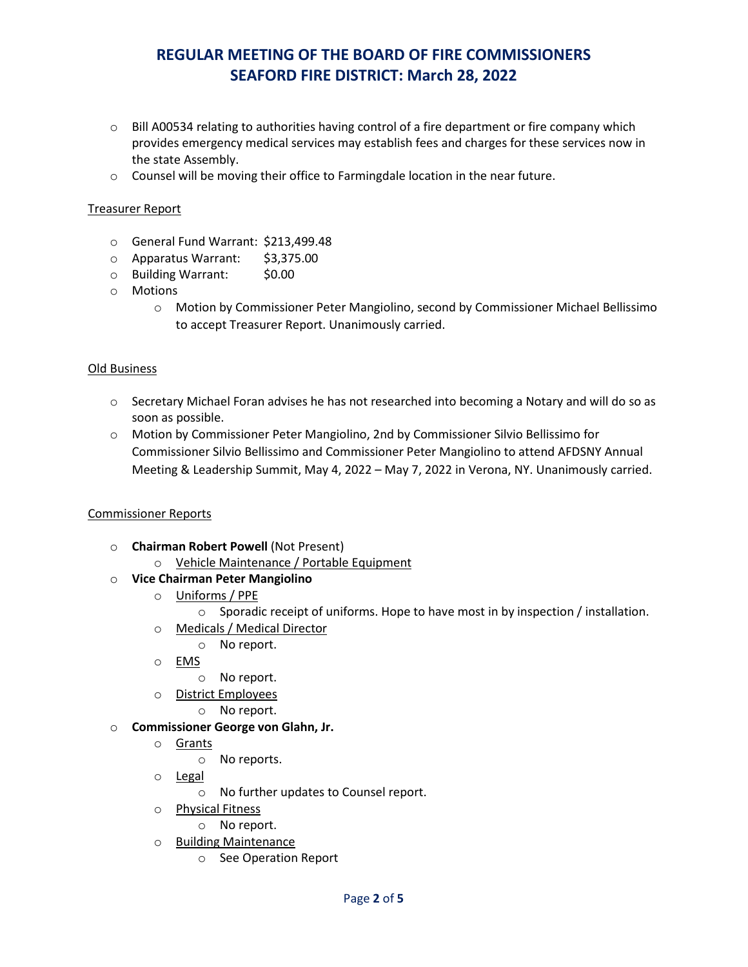- $\circ$  Bill A00534 relating to authorities having control of a fire department or fire company which provides emergency medical services may establish fees and charges for these services now in the state Assembly.
- $\circ$  Counsel will be moving their office to Farmingdale location in the near future.

### Treasurer Report

- o General Fund Warrant: \$213,499.48
- o Apparatus Warrant: \$3,375.00
- o Building Warrant: \$0.00
- o Motions
	- o Motion by Commissioner Peter Mangiolino, second by Commissioner Michael Bellissimo to accept Treasurer Report. Unanimously carried.

#### Old Business

- o Secretary Michael Foran advises he has not researched into becoming a Notary and will do so as soon as possible.
- o Motion by Commissioner Peter Mangiolino, 2nd by Commissioner Silvio Bellissimo for Commissioner Silvio Bellissimo and Commissioner Peter Mangiolino to attend AFDSNY Annual Meeting & Leadership Summit, May 4, 2022 – May 7, 2022 in Verona, NY. Unanimously carried.

#### Commissioner Reports

- o **Chairman Robert Powell** (Not Present)
	- o Vehicle Maintenance / Portable Equipment
- o **Vice Chairman Peter Mangiolino**
	- o Uniforms / PPE
		- $\circ$  Sporadic receipt of uniforms. Hope to have most in by inspection / installation.
	- o Medicals / Medical Director
		- o No report.
	- o EMS
		- o No report.
	- o District Employees
		- o No report.
- o **Commissioner George von Glahn, Jr.**
	- o Grants
		- o No reports.
	- o Legal
		- o No further updates to Counsel report.
	- o Physical Fitness
		- o No report.
	- o Building Maintenance
		- o See Operation Report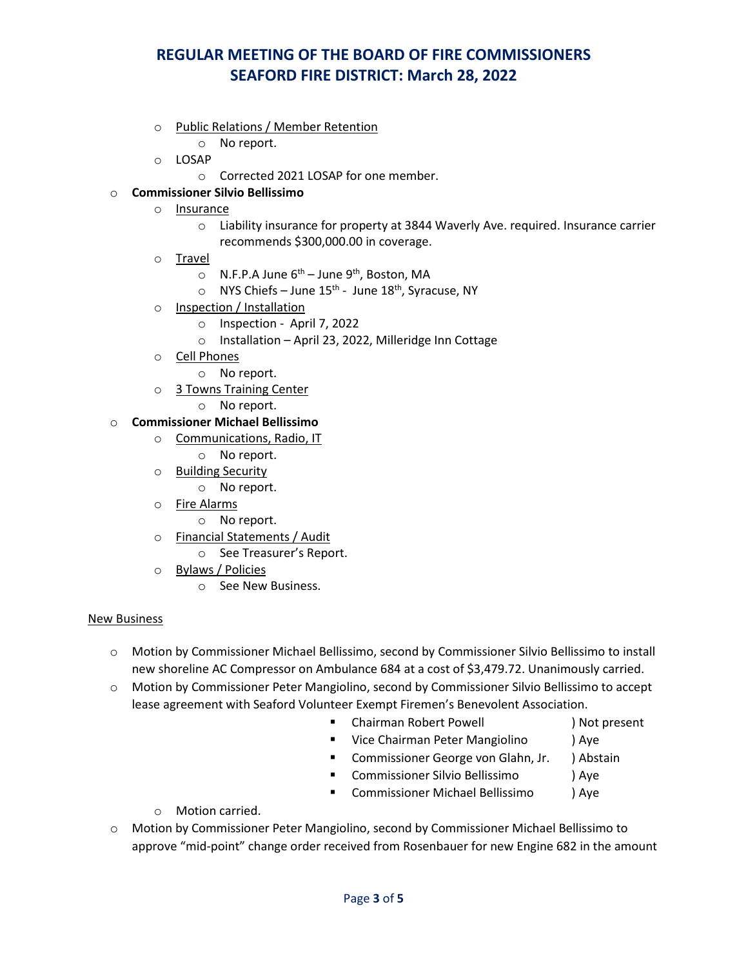- o Public Relations / Member Retention
	- o No report.
- o LOSAP
	- o Corrected 2021 LOSAP for one member.

### o **Commissioner Silvio Bellissimo**

- o Insurance
	- o Liability insurance for property at 3844 Waverly Ave. required. Insurance carrier recommends \$300,000.00 in coverage.
- o Travel
	- $\circ$  N.F.P.A June 6<sup>th</sup> June 9<sup>th</sup>, Boston, MA
	- $\circ$  NYS Chiefs June 15<sup>th</sup> June 18<sup>th</sup>, Syracuse, NY
- o Inspection / Installation
	- o Inspection April 7, 2022
	- o Installation April 23, 2022, Milleridge Inn Cottage
- o Cell Phones
	- o No report.
- o 3 Towns Training Center
	- o No report.

### o **Commissioner Michael Bellissimo**

- o Communications, Radio, IT
	- o No report.
- o Building Security
	- o No report.
- o Fire Alarms
	- o No report.
- o Financial Statements / Audit
	- o See Treasurer's Report.
- o Bylaws / Policies
	- o See New Business.

#### New Business

- o Motion by Commissioner Michael Bellissimo, second by Commissioner Silvio Bellissimo to install new shoreline AC Compressor on Ambulance 684 at a cost of \$3,479.72. Unanimously carried.
- o Motion by Commissioner Peter Mangiolino, second by Commissioner Silvio Bellissimo to accept lease agreement with Seaford Volunteer Exempt Firemen's Benevolent Association.
	- Chairman Robert Powell (a) Not present
	- **UPICA** Vice Chairman Peter Mangiolino (a) Aye
	- **E** Commissioner George von Glahn, Jr. ) Abstain
	- Commissioner Silvio Bellissimo ) Aye
	- Commissioner Michael Bellissimo ) Aye
	- o Motion carried.
- o Motion by Commissioner Peter Mangiolino, second by Commissioner Michael Bellissimo to approve "mid-point" change order received from Rosenbauer for new Engine 682 in the amount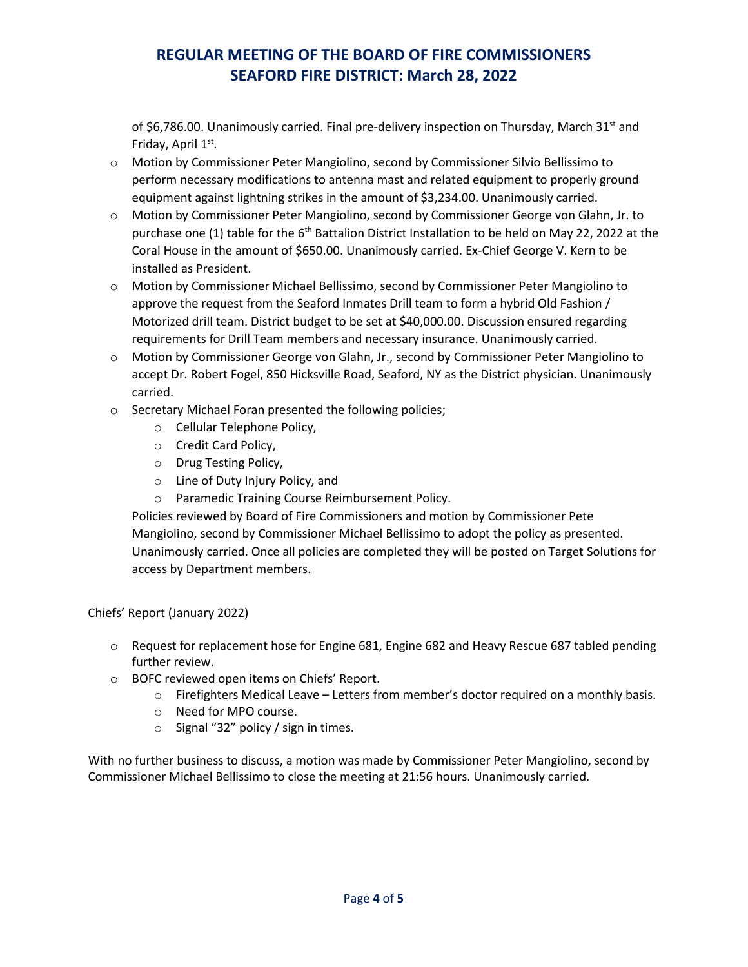of \$6,786.00. Unanimously carried. Final pre-delivery inspection on Thursday, March  $31<sup>st</sup>$  and Friday, April 1st.

- o Motion by Commissioner Peter Mangiolino, second by Commissioner Silvio Bellissimo to perform necessary modifications to antenna mast and related equipment to properly ground equipment against lightning strikes in the amount of \$3,234.00. Unanimously carried.
- o Motion by Commissioner Peter Mangiolino, second by Commissioner George von Glahn, Jr. to purchase one (1) table for the  $6<sup>th</sup>$  Battalion District Installation to be held on May 22, 2022 at the Coral House in the amount of \$650.00. Unanimously carried. Ex-Chief George V. Kern to be installed as President.
- o Motion by Commissioner Michael Bellissimo, second by Commissioner Peter Mangiolino to approve the request from the Seaford Inmates Drill team to form a hybrid Old Fashion / Motorized drill team. District budget to be set at \$40,000.00. Discussion ensured regarding requirements for Drill Team members and necessary insurance. Unanimously carried.
- o Motion by Commissioner George von Glahn, Jr., second by Commissioner Peter Mangiolino to accept Dr. Robert Fogel, 850 Hicksville Road, Seaford, NY as the District physician. Unanimously carried.
- o Secretary Michael Foran presented the following policies;
	- o Cellular Telephone Policy,
	- o Credit Card Policy,
	- o Drug Testing Policy,
	- o Line of Duty Injury Policy, and
	- o Paramedic Training Course Reimbursement Policy.

Policies reviewed by Board of Fire Commissioners and motion by Commissioner Pete Mangiolino, second by Commissioner Michael Bellissimo to adopt the policy as presented. Unanimously carried. Once all policies are completed they will be posted on Target Solutions for access by Department members.

Chiefs' Report (January 2022)

- $\circ$  Request for replacement hose for Engine 681, Engine 682 and Heavy Rescue 687 tabled pending further review.
- o BOFC reviewed open items on Chiefs' Report.
	- o Firefighters Medical Leave Letters from member's doctor required on a monthly basis.
	- o Need for MPO course.
	- o Signal "32" policy / sign in times.

With no further business to discuss, a motion was made by Commissioner Peter Mangiolino, second by Commissioner Michael Bellissimo to close the meeting at 21:56 hours. Unanimously carried.